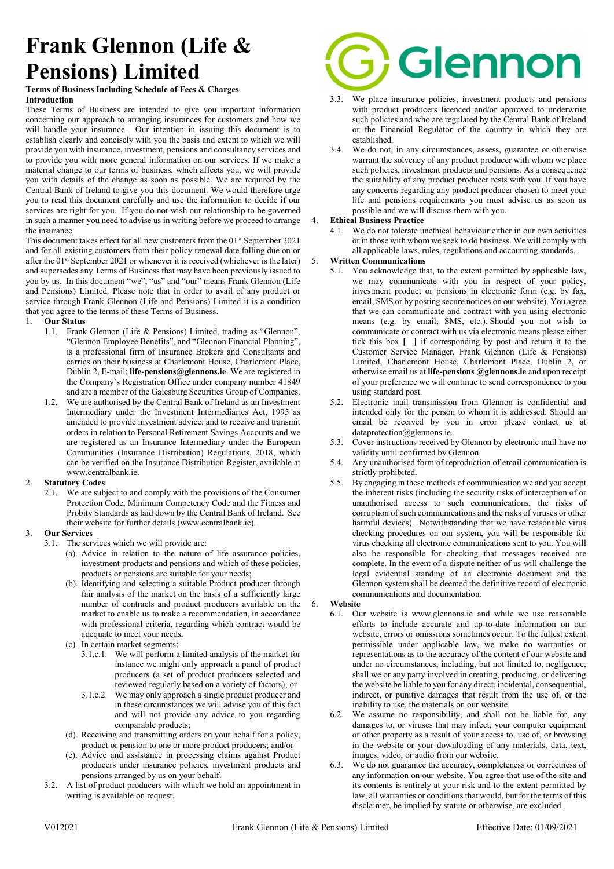# Frank Glennon (Life & Pensions) Limited

#### Terms of Business Including Schedule of Fees & Charges Introduction

These Terms of Business are intended to give you important information concerning our approach to arranging insurances for customers and how we will handle your insurance. Our intention in issuing this document is to establish clearly and concisely with you the basis and extent to which we will provide you with insurance, investment, pensions and consultancy services and to provide you with more general information on our services. If we make a material change to our terms of business, which affects you, we will provide you with details of the change as soon as possible. We are required by the Central Bank of Ireland to give you this document. We would therefore urge you to read this document carefully and use the information to decide if our services are right for you. If you do not wish our relationship to be governed in such a manner you need to advise us in writing before we proceed to arrange the insurance.

This document takes effect for all new customers from the  $01<sup>st</sup>$  September 2021 and for all existing customers from their policy renewal date falling due on or after the  $01<sup>st</sup>$  September 2021 or whenever it is received (whichever is the later) and supersedes any Terms of Business that may have been previously issued to you by us. In this document "we", "us" and "our" means Frank Glennon (Life and Pensions) Limited. Please note that in order to avail of any product or service through Frank Glennon (Life and Pensions) Limited it is a condition that you agree to the terms of these Terms of Business.

#### **Our Status**

- 1.1. Frank Glennon (Life & Pensions) Limited, trading as "Glennon", "Glennon Employee Benefits", and "Glennon Financial Planning", is a professional firm of Insurance Brokers and Consultants and carries on their business at Charlemont House, Charlemont Place, Dublin 2, E-mail; life-pensions@glennons.ie. We are registered in the Company's Registration Office under company number 41849 and are a member of the Galesburg Securities Group of Companies.
- 1.2. We are authorised by the Central Bank of Ireland as an Investment Intermediary under the Investment Intermediaries Act, 1995 as amended to provide investment advice, and to receive and transmit orders in relation to Personal Retirement Savings Accounts and we are registered as an Insurance Intermediary under the European Communities (Insurance Distribution) Regulations, 2018, which can be verified on the Insurance Distribution Register, available at www.centralbank.ie.

#### 2. Statutory Codes

2.1. We are subject to and comply with the provisions of the Consumer Protection Code, Minimum Competency Code and the Fitness and Probity Standards as laid down by the Central Bank of Ireland. See their website for further details (www.centralbank.ie).

#### 3. Our Services

- 3.1. The services which we will provide are:
	- (a). Advice in relation to the nature of life assurance policies, investment products and pensions and which of these policies, products or pensions are suitable for your needs;
	- (b). Identifying and selecting a suitable Product producer through fair analysis of the market on the basis of a sufficiently large number of contracts and product producers available on the market to enable us to make a recommendation, in accordance with professional criteria, regarding which contract would be adequate to meet your needs.
	- (c). In certain market segments:
		- 3.1.c.1. We will perform a limited analysis of the market for instance we might only approach a panel of product producers (a set of product producers selected and reviewed regularly based on a variety of factors); or
		- 3.1.c.2. We may only approach a single product producer and in these circumstances we will advise you of this fact and will not provide any advice to you regarding comparable products;
	- (d). Receiving and transmitting orders on your behalf for a policy, product or pension to one or more product producers; and/or
	- (e). Advice and assistance in processing claims against Product producers under insurance policies, investment products and pensions arranged by us on your behalf.
- 3.2. A list of product producers with which we hold an appointment in writing is available on request.



- 3.3. We place insurance policies, investment products and pensions with product producers licenced and/or approved to underwrite such policies and who are regulated by the Central Bank of Ireland or the Financial Regulator of the country in which they are established.
- 3.4. We do not, in any circumstances, assess, guarantee or otherwise warrant the solvency of any product producer with whom we place such policies, investment products and pensions. As a consequence the suitability of any product producer rests with you. If you have any concerns regarding any product producer chosen to meet your life and pensions requirements you must advise us as soon as possible and we will discuss them with you.

#### 4. Ethical Business Practice

4.1. We do not tolerate unethical behaviour either in our own activities or in those with whom we seek to do business. We will comply with all applicable laws, rules, regulations and accounting standards.

#### 5. Written Communications

- 5.1. You acknowledge that, to the extent permitted by applicable law, we may communicate with you in respect of your policy, investment product or pensions in electronic form (e.g. by fax, email, SMS or by posting secure notices on our website). You agree that we can communicate and contract with you using electronic means (e.g. by email, SMS, etc.). Should you not wish to communicate or contract with us via electronic means please either tick this box [ ] if corresponding by post and return it to the Customer Service Manager, Frank Glennon (Life & Pensions) Limited, Charlemont House, Charlemont Place, Dublin 2, or otherwise email us at life-pensions @glennons.ie and upon receipt of your preference we will continue to send correspondence to you using standard post.
- 5.2. Electronic mail transmission from Glennon is confidential and intended only for the person to whom it is addressed. Should an email be received by you in error please contact us at dataprotection@glennons.ie.
- 5.3. Cover instructions received by Glennon by electronic mail have no validity until confirmed by Glennon.
- 5.4. Any unauthorised form of reproduction of email communication is strictly prohibited.
- 5.5. By engaging in these methods of communication we and you accept the inherent risks (including the security risks of interception of or unauthorised access to such communications, the risks of corruption of such communications and the risks of viruses or other harmful devices). Notwithstanding that we have reasonable virus checking procedures on our system, you will be responsible for virus checking all electronic communications sent to you. You will also be responsible for checking that messages received are complete. In the event of a dispute neither of us will challenge the legal evidential standing of an electronic document and the Glennon system shall be deemed the definitive record of electronic communications and documentation.

#### 6. Website

- 6.1. Our website is www.glennons.ie and while we use reasonable efforts to include accurate and up-to-date information on our website, errors or omissions sometimes occur. To the fullest extent permissible under applicable law, we make no warranties or representations as to the accuracy of the content of our website and under no circumstances, including, but not limited to, negligence, shall we or any party involved in creating, producing, or delivering the website be liable to you for any direct, incidental, consequential, indirect, or punitive damages that result from the use of, or the inability to use, the materials on our website.
- 6.2. We assume no responsibility, and shall not be liable for, any damages to, or viruses that may infect, your computer equipment or other property as a result of your access to, use of, or browsing in the website or your downloading of any materials, data, text, images, video, or audio from our website.
- 6.3. We do not guarantee the accuracy, completeness or correctness of any information on our website. You agree that use of the site and its contents is entirely at your risk and to the extent permitted by law, all warranties or conditions that would, but for the terms of this disclaimer, be implied by statute or otherwise, are excluded.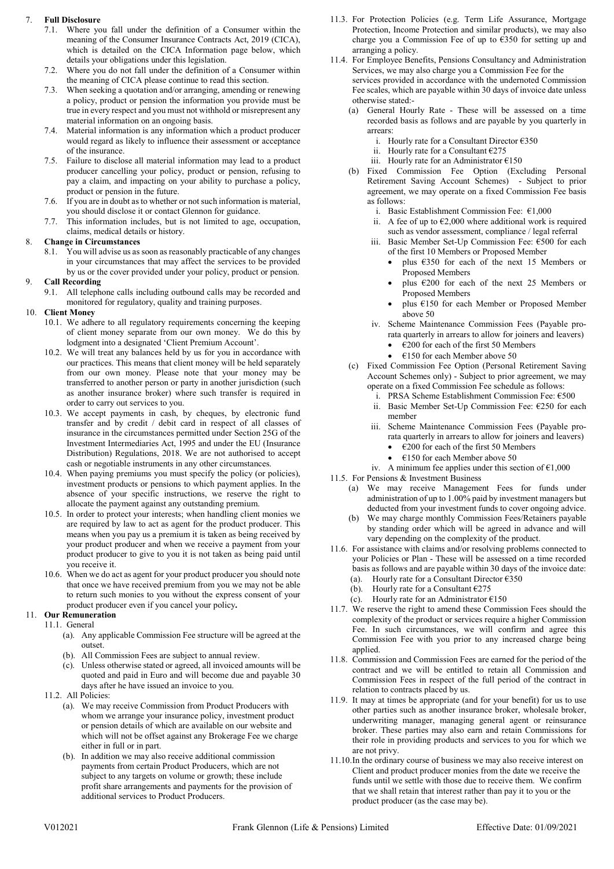#### 7. Full Disclosure

- 7.1. Where you fall under the definition of a Consumer within the meaning of the Consumer Insurance Contracts Act, 2019 (CICA), which is detailed on the CICA Information page below, which details your obligations under this legislation.
- 7.2. Where you do not fall under the definition of a Consumer within the meaning of CICA please continue to read this section.
- 7.3. When seeking a quotation and/or arranging, amending or renewing a policy, product or pension the information you provide must be true in every respect and you must not withhold or misrepresent any material information on an ongoing basis.
- 7.4. Material information is any information which a product producer would regard as likely to influence their assessment or acceptance of the insurance.
- 7.5. Failure to disclose all material information may lead to a product producer cancelling your policy, product or pension, refusing to pay a claim, and impacting on your ability to purchase a policy, product or pension in the future.
- 7.6. If you are in doubt as to whether or not such information is material, you should disclose it or contact Glennon for guidance.
- 7.7. This information includes, but is not limited to age, occupation, claims, medical details or history.

# 8. Change in Circumstances

8.1. You will advise us as soon as reasonably practicable of any changes in your circumstances that may affect the services to be provided by us or the cover provided under your policy, product or pension.

# 9. Call Recording

9.1. All telephone calls including outbound calls may be recorded and monitored for regulatory, quality and training purposes.

# 10. Client Money

- 10.1. We adhere to all regulatory requirements concerning the keeping of client money separate from our own money. We do this by lodgment into a designated 'Client Premium Account'.
- 10.2. We will treat any balances held by us for you in accordance with our practices. This means that client money will be held separately from our own money. Please note that your money may be transferred to another person or party in another jurisdiction (such as another insurance broker) where such transfer is required in order to carry out services to you.
- 10.3. We accept payments in cash, by cheques, by electronic fund transfer and by credit / debit card in respect of all classes of insurance in the circumstances permitted under Section 25G of the Investment Intermediaries Act, 1995 and under the EU (Insurance Distribution) Regulations, 2018. We are not authorised to accept cash or negotiable instruments in any other circumstances.
- 10.4. When paying premiums you must specify the policy (or policies), investment products or pensions to which payment applies. In the absence of your specific instructions, we reserve the right to allocate the payment against any outstanding premium.
- 10.5. In order to protect your interests; when handling client monies we are required by law to act as agent for the product producer. This means when you pay us a premium it is taken as being received by your product producer and when we receive a payment from your product producer to give to you it is not taken as being paid until you receive it.
- 10.6. When we do act as agent for your product producer you should note that once we have received premium from you we may not be able to return such monies to you without the express consent of your product producer even if you cancel your policy.

# 11. Our Remuneration

- 11.1. General
	- (a). Any applicable Commission Fee structure will be agreed at the outset.
	- (b). All Commission Fees are subject to annual review.
	- (c). Unless otherwise stated or agreed, all invoiced amounts will be quoted and paid in Euro and will become due and payable 30 days after he have issued an invoice to you.
- 11.2. All Policies:
	- (a). We may receive Commission from Product Producers with whom we arrange your insurance policy, investment product or pension details of which are available on our website and which will not be offset against any Brokerage Fee we charge either in full or in part.
	- (b). In addition we may also receive additional commission payments from certain Product Producers, which are not subject to any targets on volume or growth; these include profit share arrangements and payments for the provision of additional services to Product Producers.
- 11.3. For Protection Policies (e.g. Term Life Assurance, Mortgage Protection, Income Protection and similar products), we may also charge you a Commission Fee of up to €350 for setting up and arranging a policy.
- 11.4. For Employee Benefits, Pensions Consultancy and Administration Services, we may also charge you a Commission Fee for the services provided in accordance with the undernoted Commission Fee scales, which are payable within 30 days of invoice date unless otherwise stated:-
	- (a) General Hourly Rate These will be assessed on a time recorded basis as follows and are payable by you quarterly in arrears:
		- i. Hourly rate for a Consultant Director €350
		- ii. Hourly rate for a Consultant €275
		- iii. Hourly rate for an Administrator €150
	- (b) Fixed Commission Fee Option (Excluding Personal Retirement Saving Account Schemes) - Subject to prior agreement, we may operate on a fixed Commission Fee basis as follows:
		- i. Basic Establishment Commission Fee:  $£1,000$
		- ii. A fee of up to  $\epsilon$ 2,000 where additional work is required such as vendor assessment, compliance / legal referral
		- iii. Basic Member Set-Up Commission Fee: €500 for each of the first 10 Members or Proposed Member
			- plus €350 for each of the next 15 Members or Proposed Members
			- plus €200 for each of the next 25 Members or Proposed Members
			- plus €150 for each Member or Proposed Member above 50
		- iv. Scheme Maintenance Commission Fees (Payable prorata quarterly in arrears to allow for joiners and leavers)
			- $\cdot$   $\epsilon$ 200 for each of the first 50 Members
			- €150 for each Member above 50
	- (c) Fixed Commission Fee Option (Personal Retirement Saving Account Schemes only) - Subject to prior agreement, we may operate on a fixed Commission Fee schedule as follows:
		- i. PRSA Scheme Establishment Commission Fee: €500 ii. Basic Member Set-Up Commission Fee: €250 for each
		- member iii. Scheme Maintenance Commission Fees (Payable prorata quarterly in arrears to allow for joiners and leavers)
			- €200 for each of the first 50 Members
			- €150 for each Member above 50
		- iv. A minimum fee applies under this section of  $\epsilon$ 1,000
- 11.5. For Pensions & Investment Business
	- (a) We may receive Management Fees for funds under administration of up to 1.00% paid by investment managers but deducted from your investment funds to cover ongoing advice.
	- (b) We may charge monthly Commission Fees/Retainers payable by standing order which will be agreed in advance and will vary depending on the complexity of the product.
- 11.6. For assistance with claims and/or resolving problems connected to your Policies or Plan - These will be assessed on a time recorded basis as follows and are payable within 30 days of the invoice date: (a). Hourly rate for a Consultant Director  $\epsilon$ 350
	- (b). Hourly rate for a Consultant  $\epsilon$ 275
	- (c). Hourly rate for an Administrator  $£150$
- 11.7. We reserve the right to amend these Commission Fees should the complexity of the product or services require a higher Commission Fee. In such circumstances, we will confirm and agree this Commission Fee with you prior to any increased charge being applied.
- 11.8. Commission and Commission Fees are earned for the period of the contract and we will be entitled to retain all Commission and Commission Fees in respect of the full period of the contract in relation to contracts placed by us.
- 11.9. It may at times be appropriate (and for your benefit) for us to use other parties such as another insurance broker, wholesale broker, underwriting manager, managing general agent or reinsurance broker. These parties may also earn and retain Commissions for their role in providing products and services to you for which we are not privy.
- 11.10.In the ordinary course of business we may also receive interest on Client and product producer monies from the date we receive the funds until we settle with those due to receive them. We confirm that we shall retain that interest rather than pay it to you or the product producer (as the case may be).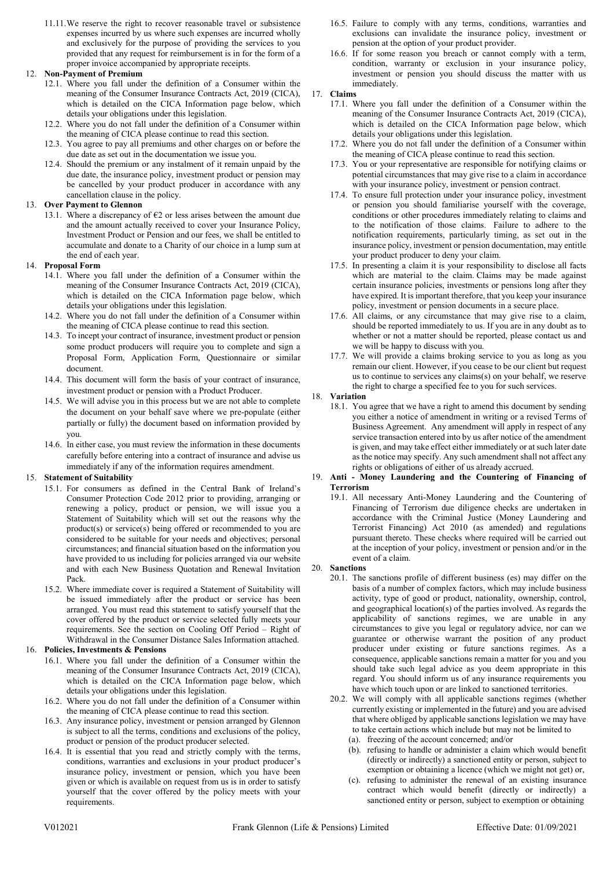11.11.We reserve the right to recover reasonable travel or subsistence expenses incurred by us where such expenses are incurred wholly and exclusively for the purpose of providing the services to you provided that any request for reimbursement is in for the form of a proper invoice accompanied by appropriate receipts.

#### 12. Non-Payment of Premium

- 12.1. Where you fall under the definition of a Consumer within the meaning of the Consumer Insurance Contracts Act, 2019 (CICA), which is detailed on the CICA Information page below, which details your obligations under this legislation.
- 12.2. Where you do not fall under the definition of a Consumer within the meaning of CICA please continue to read this section.
- 12.3. You agree to pay all premiums and other charges on or before the due date as set out in the documentation we issue you.
- 12.4. Should the premium or any instalment of it remain unpaid by the due date, the insurance policy, investment product or pension may be cancelled by your product producer in accordance with any cancellation clause in the policy.

#### 13. Over Payment to Glennon

13.1. Where a discrepancy of  $E2$  or less arises between the amount due and the amount actually received to cover your Insurance Policy, Investment Product or Pension and our fees, we shall be entitled to accumulate and donate to a Charity of our choice in a lump sum at the end of each year.

#### 14. Proposal Form

- 14.1. Where you fall under the definition of a Consumer within the meaning of the Consumer Insurance Contracts Act, 2019 (CICA), which is detailed on the CICA Information page below, which details your obligations under this legislation.
- 14.2. Where you do not fall under the definition of a Consumer within the meaning of CICA please continue to read this section.
- 14.3. To incept your contract of insurance, investment product or pension some product producers will require you to complete and sign a Proposal Form, Application Form, Questionnaire or similar document.
- 14.4. This document will form the basis of your contract of insurance, investment product or pension with a Product Producer.
- 14.5. We will advise you in this process but we are not able to complete the document on your behalf save where we pre-populate (either partially or fully) the document based on information provided by you.
- 14.6. In either case, you must review the information in these documents carefully before entering into a contract of insurance and advise us immediately if any of the information requires amendment.

#### 15. Statement of Suitability

- 15.1. For consumers as defined in the Central Bank of Ireland's Consumer Protection Code 2012 prior to providing, arranging or renewing a policy, product or pension, we will issue you a Statement of Suitability which will set out the reasons why the product(s) or service(s) being offered or recommended to you are considered to be suitable for your needs and objectives; personal circumstances; and financial situation based on the information you have provided to us including for policies arranged via our website and with each New Business Quotation and Renewal Invitation Pack.
- 15.2. Where immediate cover is required a Statement of Suitability will be issued immediately after the product or service has been arranged. You must read this statement to satisfy yourself that the cover offered by the product or service selected fully meets your requirements. See the section on Cooling Off Period – Right of Withdrawal in the Consumer Distance Sales Information attached.

#### 16. Policies, Investments & Pensions

- 16.1. Where you fall under the definition of a Consumer within the meaning of the Consumer Insurance Contracts Act, 2019 (CICA), which is detailed on the CICA Information page below, which details your obligations under this legislation.
- 16.2. Where you do not fall under the definition of a Consumer within the meaning of CICA please continue to read this section.
- 16.3. Any insurance policy, investment or pension arranged by Glennon is subject to all the terms, conditions and exclusions of the policy, product or pension of the product producer selected.
- 16.4. It is essential that you read and strictly comply with the terms, conditions, warranties and exclusions in your product producer's insurance policy, investment or pension, which you have been given or which is available on request from us is in order to satisfy yourself that the cover offered by the policy meets with your requirements.
- 16.5. Failure to comply with any terms, conditions, warranties and exclusions can invalidate the insurance policy, investment or pension at the option of your product provider.
- 16.6. If for some reason you breach or cannot comply with a term, condition, warranty or exclusion in your insurance policy, investment or pension you should discuss the matter with us immediately.
- 17. Claims
	- 17.1. Where you fall under the definition of a Consumer within the meaning of the Consumer Insurance Contracts Act, 2019 (CICA), which is detailed on the CICA Information page below, which details your obligations under this legislation.
	- 17.2. Where you do not fall under the definition of a Consumer within the meaning of CICA please continue to read this section.
	- 17.3. You or your representative are responsible for notifying claims or potential circumstances that may give rise to a claim in accordance with your insurance policy, investment or pension contract.
	- 17.4. To ensure full protection under your insurance policy, investment or pension you should familiarise yourself with the coverage, conditions or other procedures immediately relating to claims and to the notification of those claims. Failure to adhere to the notification requirements, particularly timing, as set out in the insurance policy, investment or pension documentation, may entitle your product producer to deny your claim.
	- 17.5. In presenting a claim it is your responsibility to disclose all facts which are material to the claim. Claims may be made against certain insurance policies, investments or pensions long after they have expired. It is important therefore, that you keep your insurance policy, investment or pension documents in a secure place.
	- 17.6. All claims, or any circumstance that may give rise to a claim, should be reported immediately to us. If you are in any doubt as to whether or not a matter should be reported, please contact us and we will be happy to discuss with you.
	- 17.7. We will provide a claims broking service to you as long as you remain our client. However, if you cease to be our client but request us to continue to services any claims(s) on your behalf, we reserve the right to charge a specified fee to you for such services.

#### 18. Variation

- 18.1. You agree that we have a right to amend this document by sending you either a notice of amendment in writing or a revised Terms of Business Agreement. Any amendment will apply in respect of any service transaction entered into by us after notice of the amendment is given, and may take effect either immediately or at such later date as the notice may specify. Any such amendment shall not affect any rights or obligations of either of us already accrued.
- 19. Anti Money Laundering and the Countering of Financing of Terrorism
	- 19.1. All necessary Anti-Money Laundering and the Countering of Financing of Terrorism due diligence checks are undertaken in accordance with the Criminal Justice (Money Laundering and Terrorist Financing) Act 2010 (as amended) and regulations pursuant thereto. These checks where required will be carried out at the inception of your policy, investment or pension and/or in the event of a claim.

#### 20. Sanctions

- 20.1. The sanctions profile of different business (es) may differ on the basis of a number of complex factors, which may include business activity, type of good or product, nationality, ownership, control, and geographical location(s) of the parties involved. As regards the applicability of sanctions regimes, we are unable in any circumstances to give you legal or regulatory advice, nor can we guarantee or otherwise warrant the position of any product producer under existing or future sanctions regimes. As a consequence, applicable sanctions remain a matter for you and you should take such legal advice as you deem appropriate in this regard. You should inform us of any insurance requirements you have which touch upon or are linked to sanctioned territories.
- 20.2. We will comply with all applicable sanctions regimes (whether currently existing or implemented in the future) and you are advised that where obliged by applicable sanctions legislation we may have to take certain actions which include but may not be limited to (a). freezing of the account concerned; and/or
	- (b). refusing to handle or administer a claim which would benefit (directly or indirectly) a sanctioned entity or person, subject to exemption or obtaining a licence (which we might not get) or,
	- (c). refusing to administer the renewal of an existing insurance contract which would benefit (directly or indirectly) a sanctioned entity or person, subject to exemption or obtaining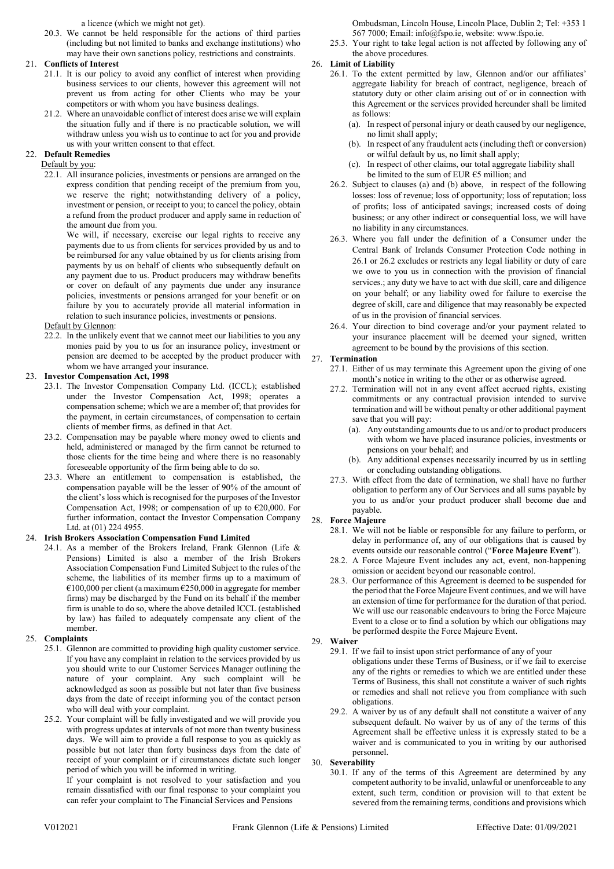a licence (which we might not get).

20.3. We cannot be held responsible for the actions of third parties (including but not limited to banks and exchange institutions) who may have their own sanctions policy, restrictions and constraints.

#### 21. Conflicts of Interest

- 21.1. It is our policy to avoid any conflict of interest when providing business services to our clients, however this agreement will not prevent us from acting for other Clients who may be your competitors or with whom you have business dealings.
- 21.2. Where an unavoidable conflict of interest does arise we will explain the situation fully and if there is no practicable solution, we will withdraw unless you wish us to continue to act for you and provide us with your written consent to that effect.

## 22. Default Remedies

#### Default by you:

22.1. All insurance policies, investments or pensions are arranged on the express condition that pending receipt of the premium from you, we reserve the right; notwithstanding delivery of a policy, investment or pension, or receipt to you; to cancel the policy, obtain a refund from the product producer and apply same in reduction of the amount due from you.

We will, if necessary, exercise our legal rights to receive any payments due to us from clients for services provided by us and to be reimbursed for any value obtained by us for clients arising from payments by us on behalf of clients who subsequently default on any payment due to us. Product producers may withdraw benefits or cover on default of any payments due under any insurance policies, investments or pensions arranged for your benefit or on failure by you to accurately provide all material information in relation to such insurance policies, investments or pensions.

#### Default by Glennon:

22.2. In the unlikely event that we cannot meet our liabilities to you any monies paid by you to us for an insurance policy, investment or pension are deemed to be accepted by the product producer with whom we have arranged your insurance.

#### 23. Investor Compensation Act, 1998

- 23.1. The Investor Compensation Company Ltd. (ICCL); established under the Investor Compensation Act, 1998; operates a compensation scheme; which we are a member of; that provides for the payment, in certain circumstances, of compensation to certain clients of member firms, as defined in that Act.
- 23.2. Compensation may be payable where money owed to clients and held, administered or managed by the firm cannot be returned to those clients for the time being and where there is no reasonably foreseeable opportunity of the firm being able to do so.
- 23.3. Where an entitlement to compensation is established, the compensation payable will be the lesser of 90% of the amount of the client's loss which is recognised for the purposes of the Investor Compensation Act, 1998; or compensation of up to €20,000. For further information, contact the Investor Compensation Company Ltd. at (01) 224 4955.

#### 24. Irish Brokers Association Compensation Fund Limited

24.1. As a member of the Brokers Ireland, Frank Glennon (Life & Pensions) Limited is also a member of the Irish Brokers Association Compensation Fund Limited Subject to the rules of the scheme, the liabilities of its member firms up to a maximum of  $\epsilon$ 100,000 per client (a maximum  $\epsilon$ 250,000 in aggregate for member firms) may be discharged by the Fund on its behalf if the member firm is unable to do so, where the above detailed ICCL (established by law) has failed to adequately compensate any client of the member.

#### 25. Complaints

- 25.1. Glennon are committed to providing high quality customer service. If you have any complaint in relation to the services provided by us you should write to our Customer Services Manager outlining the nature of your complaint. Any such complaint will be acknowledged as soon as possible but not later than five business days from the date of receipt informing you of the contact person who will deal with your complaint.
- 25.2. Your complaint will be fully investigated and we will provide you with progress updates at intervals of not more than twenty business days. We will aim to provide a full response to you as quickly as possible but not later than forty business days from the date of receipt of your complaint or if circumstances dictate such longer period of which you will be informed in writing.

If your complaint is not resolved to your satisfaction and you remain dissatisfied with our final response to your complaint you can refer your complaint to The Financial Services and Pensions

Ombudsman, Lincoln House, Lincoln Place, Dublin 2; Tel: +353 1 567 7000; Email: info@fspo.ie, website: www.fspo.ie.

25.3. Your right to take legal action is not affected by following any of the above procedures.

#### 26. Limit of Liability

- 26.1. To the extent permitted by law, Glennon and/or our affiliates' aggregate liability for breach of contract, negligence, breach of statutory duty or other claim arising out of or in connection with this Agreement or the services provided hereunder shall be limited as follows:
	- (a). In respect of personal injury or death caused by our negligence, no limit shall apply;
	- (b). In respect of any fraudulent acts (including theft or conversion) or wilful default by us, no limit shall apply;
	- (c). In respect of other claims, our total aggregate liability shall be limited to the sum of EUR  $65$  million; and
- 26.2. Subject to clauses (a) and (b) above, in respect of the following losses: loss of revenue; loss of opportunity; loss of reputation; loss of profits; loss of anticipated savings; increased costs of doing business; or any other indirect or consequential loss, we will have no liability in any circumstances.
- 26.3. Where you fall under the definition of a Consumer under the Central Bank of Irelands Consumer Protection Code nothing in 26.1 or 26.2 excludes or restricts any legal liability or duty of care we owe to you us in connection with the provision of financial services.; any duty we have to act with due skill, care and diligence on your behalf; or any liability owed for failure to exercise the degree of skill, care and diligence that may reasonably be expected of us in the provision of financial services.
- 26.4. Your direction to bind coverage and/or your payment related to your insurance placement will be deemed your signed, written agreement to be bound by the provisions of this section.

#### 27. Termination

- 27.1. Either of us may terminate this Agreement upon the giving of one month's notice in writing to the other or as otherwise agreed.
- 27.2. Termination will not in any event affect accrued rights, existing commitments or any contractual provision intended to survive termination and will be without penalty or other additional payment save that you will pay:
	- (a). Any outstanding amounts due to us and/or to product producers with whom we have placed insurance policies, investments or pensions on your behalf; and
	- (b). Any additional expenses necessarily incurred by us in settling or concluding outstanding obligations.
- 27.3. With effect from the date of termination, we shall have no further obligation to perform any of Our Services and all sums payable by you to us and/or your product producer shall become due and payable.

#### 28. Force Majeure

- 28.1. We will not be liable or responsible for any failure to perform, or delay in performance of, any of our obligations that is caused by events outside our reasonable control ("Force Majeure Event").
- 28.2. A Force Majeure Event includes any act, event, non-happening omission or accident beyond our reasonable control.
- 28.3. Our performance of this Agreement is deemed to be suspended for the period that the Force Majeure Event continues, and we will have an extension of time for performance for the duration of that period. We will use our reasonable endeavours to bring the Force Majeure Event to a close or to find a solution by which our obligations may be performed despite the Force Majeure Event.
- 29. Waiver
	- 29.1. If we fail to insist upon strict performance of any of your obligations under these Terms of Business, or if we fail to exercise any of the rights or remedies to which we are entitled under these Terms of Business, this shall not constitute a waiver of such rights or remedies and shall not relieve you from compliance with such obligations.
	- 29.2. A waiver by us of any default shall not constitute a waiver of any subsequent default. No waiver by us of any of the terms of this Agreement shall be effective unless it is expressly stated to be a waiver and is communicated to you in writing by our authorised personnel.

#### 30. Severability

30.1. If any of the terms of this Agreement are determined by any competent authority to be invalid, unlawful or unenforceable to any extent, such term, condition or provision will to that extent be severed from the remaining terms, conditions and provisions which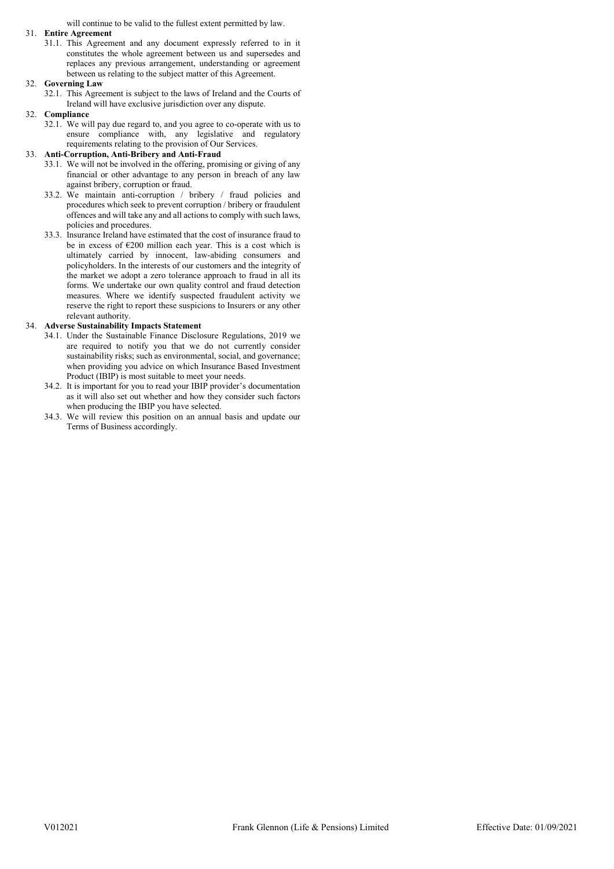will continue to be valid to the fullest extent permitted by law.

#### 31. Entire Agreement

31.1. This Agreement and any document expressly referred to in it constitutes the whole agreement between us and supersedes and replaces any previous arrangement, understanding or agreement between us relating to the subject matter of this Agreement.

#### 32. Governing Law

32.1. This Agreement is subject to the laws of Ireland and the Courts of Ireland will have exclusive jurisdiction over any dispute.

#### 32. Compliance

32.1. We will pay due regard to, and you agree to co-operate with us to ensure compliance with, any legislative and regulatory requirements relating to the provision of Our Services.

#### 33. Anti-Corruption, Anti-Bribery and Anti-Fraud

- 33.1. We will not be involved in the offering, promising or giving of any financial or other advantage to any person in breach of any law against bribery, corruption or fraud.
- 33.2. We maintain anti-corruption / bribery / fraud policies and procedures which seek to prevent corruption / bribery or fraudulent offences and will take any and all actions to comply with such laws, policies and procedures.
- 33.3. Insurance Ireland have estimated that the cost of insurance fraud to be in excess of  $E200$  million each year. This is a cost which is ultimately carried by innocent, law-abiding consumers and policyholders. In the interests of our customers and the integrity of the market we adopt a zero tolerance approach to fraud in all its forms. We undertake our own quality control and fraud detection measures. Where we identify suspected fraudulent activity we reserve the right to report these suspicions to Insurers or any other relevant authority.

#### 34. Adverse Sustainability Impacts Statement

- 34.1. Under the Sustainable Finance Disclosure Regulations, 2019 we are required to notify you that we do not currently consider sustainability risks; such as environmental, social, and governance; when providing you advice on which Insurance Based Investment Product (IBIP) is most suitable to meet your needs.
- 34.2. It is important for you to read your IBIP provider's documentation as it will also set out whether and how they consider such factors when producing the IBIP you have selected.
- 34.3. We will review this position on an annual basis and update our Terms of Business accordingly.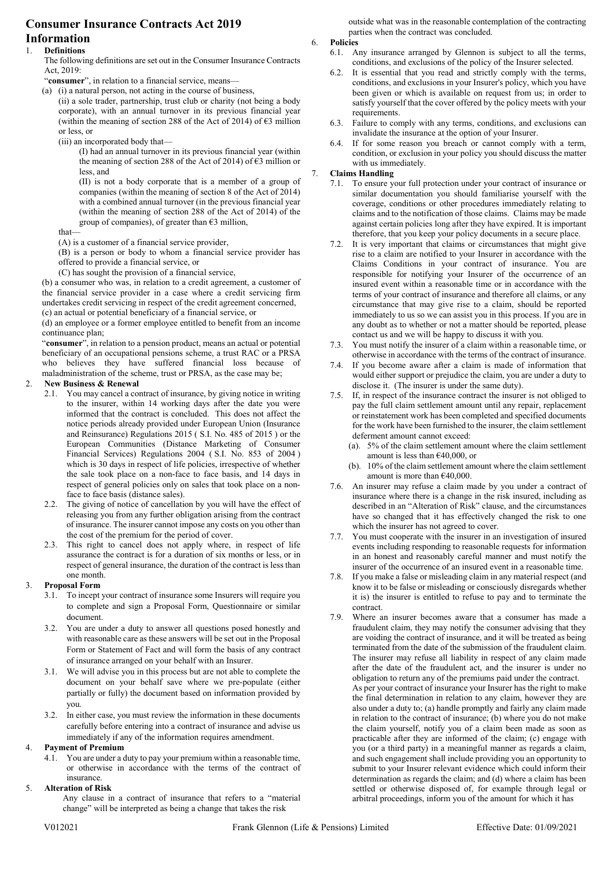# Consumer Insurance Contracts Act 2019

# Information

## 1. Definitions

The following definitions are set out in the Consumer Insurance Contracts Act, 2019:

"consumer", in relation to a financial service, means-

(a) (i) a natural person, not acting in the course of business,

(ii) a sole trader, partnership, trust club or charity (not being a body corporate), with an annual turnover in its previous financial year (within the meaning of section 288 of the Act of 2014) of  $\epsilon$ 3 million or less, or

(iii) an incorporated body that—

(I) had an annual turnover in its previous financial year (within the meaning of section 288 of the Act of 2014) of  $\epsilon$ 3 million or less, and

(II) is not a body corporate that is a member of a group of companies (within the meaning of section 8 of the Act of 2014) with a combined annual turnover (in the previous financial year (within the meaning of section 288 of the Act of 2014) of the group of companies), of greater than  $63$  million,

that—

(A) is a customer of a financial service provider,

(B) is a person or body to whom a financial service provider has offered to provide a financial service, or

(C) has sought the provision of a financial service,

(b) a consumer who was, in relation to a credit agreement, a customer of the financial service provider in a case where a credit servicing firm undertakes credit servicing in respect of the credit agreement concerned, (c) an actual or potential beneficiary of a financial service, or

(d) an employee or a former employee entitled to benefit from an income continuance plan;

"consumer", in relation to a pension product, means an actual or potential beneficiary of an occupational pensions scheme, a trust RAC or a PRSA who believes they have suffered financial loss because of maladministration of the scheme, trust or PRSA, as the case may be;

#### 2. New Business & Renewal

- 2.1. You may cancel a contract of insurance, by giving notice in writing to the insurer, within 14 working days after the date you were informed that the contract is concluded. This does not affect the notice periods already provided under European Union (Insurance and Reinsurance) Regulations 2015 ( S.I. No. 485 of 2015 ) or the European Communities (Distance Marketing of Consumer Financial Services) Regulations 2004 ( S.I. No. 853 of 2004 ) which is 30 days in respect of life policies, irrespective of whether the sale took place on a non-face to face basis, and 14 days in respect of general policies only on sales that took place on a nonface to face basis (distance sales).
- 2.2. The giving of notice of cancellation by you will have the effect of releasing you from any further obligation arising from the contract of insurance. The insurer cannot impose any costs on you other than the cost of the premium for the period of cover.
- 2.3. This right to cancel does not apply where, in respect of life assurance the contract is for a duration of six months or less, or in respect of general insurance, the duration of the contract is less than one month.

#### 3. Proposal Form

- 3.1. To incept your contract of insurance some Insurers will require you to complete and sign a Proposal Form, Questionnaire or similar document.
- 3.2. You are under a duty to answer all questions posed honestly and with reasonable care as these answers will be set out in the Proposal Form or Statement of Fact and will form the basis of any contract of insurance arranged on your behalf with an Insurer.
- 3.1. We will advise you in this process but are not able to complete the document on your behalf save where we pre-populate (either partially or fully) the document based on information provided by you.
- 3.2. In either case, you must review the information in these documents carefully before entering into a contract of insurance and advise us immediately if any of the information requires amendment.

#### 4. Payment of Premium

4.1. You are under a duty to pay your premium within a reasonable time, or otherwise in accordance with the terms of the contract of insurance.

#### 5. Alteration of Risk

Any clause in a contract of insurance that refers to a "material change" will be interpreted as being a change that takes the risk

outside what was in the reasonable contemplation of the contracting parties when the contract was concluded.

6. Policies

- 6.1. Any insurance arranged by Glennon is subject to all the terms, conditions, and exclusions of the policy of the Insurer selected.
- 6.2. It is essential that you read and strictly comply with the terms, conditions, and exclusions in your Insurer's policy, which you have been given or which is available on request from us; in order to satisfy yourself that the cover offered by the policy meets with your requirements.
- 6.3. Failure to comply with any terms, conditions, and exclusions can invalidate the insurance at the option of your Insurer.
- 6.4. If for some reason you breach or cannot comply with a term, condition, or exclusion in your policy you should discuss the matter with us immediately.

#### 7. Claims Handling

- 7.1. To ensure your full protection under your contract of insurance or similar documentation you should familiarise yourself with the coverage, conditions or other procedures immediately relating to claims and to the notification of those claims. Claims may be made against certain policies long after they have expired. It is important therefore, that you keep your policy documents in a secure place.
- 7.2. It is very important that claims or circumstances that might give rise to a claim are notified to your Insurer in accordance with the Claims Conditions in your contract of insurance. You are responsible for notifying your Insurer of the occurrence of an insured event within a reasonable time or in accordance with the terms of your contract of insurance and therefore all claims, or any circumstance that may give rise to a claim, should be reported immediately to us so we can assist you in this process. If you are in any doubt as to whether or not a matter should be reported, please contact us and we will be happy to discuss it with you.
- 7.3. You must notify the insurer of a claim within a reasonable time, or otherwise in accordance with the terms of the contract of insurance.
- 7.4. If you become aware after a claim is made of information that would either support or prejudice the claim, you are under a duty to disclose it. (The insurer is under the same duty).
- 7.5. If, in respect of the insurance contract the insurer is not obliged to pay the full claim settlement amount until any repair, replacement or reinstatement work has been completed and specified documents for the work have been furnished to the insurer, the claim settlement deferment amount cannot exceed:
	- (a). 5% of the claim settlement amount where the claim settlement amount is less than £40,000, or
	- (b). 10% of the claim settlement amount where the claim settlement amount is more than €40,000.
- 7.6. An insurer may refuse a claim made by you under a contract of insurance where there is a change in the risk insured, including as described in an "Alteration of Risk" clause, and the circumstances have so changed that it has effectively changed the risk to one which the insurer has not agreed to cover.
- 7.7. You must cooperate with the insurer in an investigation of insured events including responding to reasonable requests for information in an honest and reasonably careful manner and must notify the insurer of the occurrence of an insured event in a reasonable time.
- 7.8. If you make a false or misleading claim in any material respect (and know it to be false or misleading or consciously disregards whether it is) the insurer is entitled to refuse to pay and to terminate the contract.
- 7.9. Where an insurer becomes aware that a consumer has made a fraudulent claim, they may notify the consumer advising that they are voiding the contract of insurance, and it will be treated as being terminated from the date of the submission of the fraudulent claim. The insurer may refuse all liability in respect of any claim made after the date of the fraudulent act, and the insurer is under no obligation to return any of the premiums paid under the contract. As per your contract of insurance your Insurer has the right to make the final determination in relation to any claim, however they are also under a duty to; (a) handle promptly and fairly any claim made in relation to the contract of insurance; (b) where you do not make the claim yourself, notify you of a claim been made as soon as practicable after they are informed of the claim; (c) engage with you (or a third party) in a meaningful manner as regards a claim, and such engagement shall include providing you an opportunity to submit to your Insurer relevant evidence which could inform their determination as regards the claim; and (d) where a claim has been settled or otherwise disposed of, for example through legal or arbitral proceedings, inform you of the amount for which it has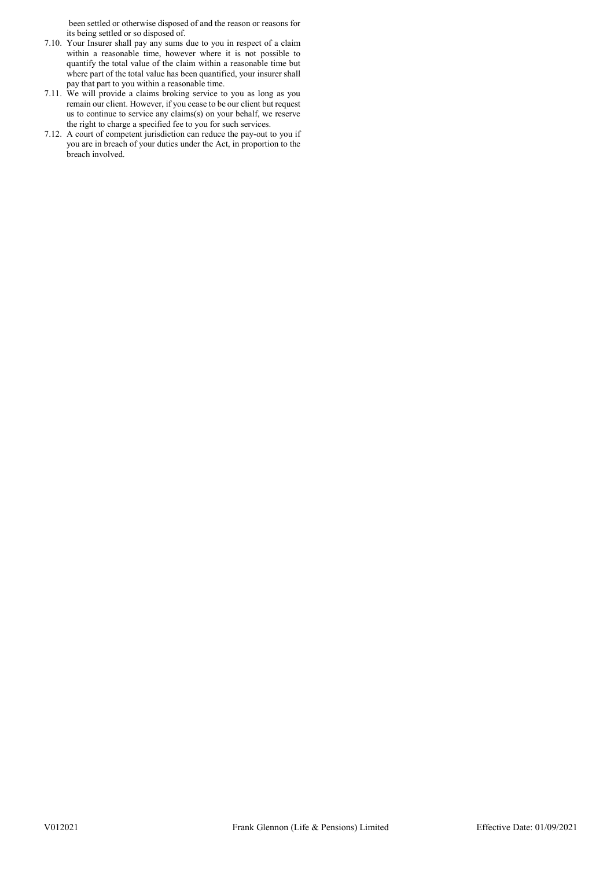been settled or otherwise disposed of and the reason or reasons for its being settled or so disposed of.

- 7.10. Your Insurer shall pay any sums due to you in respect of a claim within a reasonable time, however where it is not possible to quantify the total value of the claim within a reasonable time but where part of the total value has been quantified, your insurer shall pay that part to you within a reasonable time.
- 7.11. We will provide a claims broking service to you as long as you remain our client. However, if you cease to be our client but request us to continue to service any claims(s) on your behalf, we reserve the right to charge a specified fee to you for such services.
- 7.12. A court of competent jurisdiction can reduce the pay-out to you if you are in breach of your duties under the Act, in proportion to the breach involved.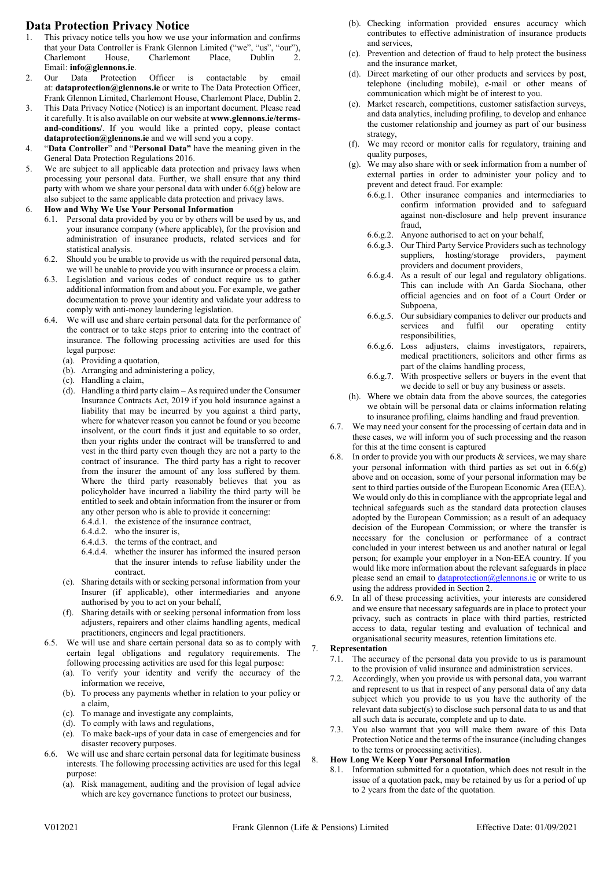# Data Protection Privacy Notice

- 1. This privacy notice tells you how we use your information and confirms that your Data Controller is Frank Glennon Limited ("we", "us", "our"), Charlemont House, Charlemont Place, Dublin Email: info@glennons.ie.
- 2. Our Data Protection Officer is contactable by email at: dataprotection@glennons.ie or write to The Data Protection Officer, Frank Glennon Limited, Charlemont House, Charlemont Place, Dublin 2.
- 3. This Data Privacy Notice (Notice) is an important document. Please read it carefully. It is also available on our website at www.glennons.ie/termsand-conditions/. If you would like a printed copy, please contact dataprotection@glennons.ie and we will send you a copy.
- 4. "Data Controller" and "Personal Data" have the meaning given in the General Data Protection Regulations 2016.
- 5. We are subject to all applicable data protection and privacy laws when processing your personal data. Further, we shall ensure that any third party with whom we share your personal data with under 6.6(g) below are also subject to the same applicable data protection and privacy laws.
- 6. How and Why We Use Your Personal Information
	- 6.1. Personal data provided by you or by others will be used by us, and your insurance company (where applicable), for the provision and administration of insurance products, related services and for statistical analysis.
	- 6.2. Should you be unable to provide us with the required personal data, we will be unable to provide you with insurance or process a claim.
	- 6.3. Legislation and various codes of conduct require us to gather additional information from and about you. For example, we gather documentation to prove your identity and validate your address to comply with anti-money laundering legislation.
	- 6.4. We will use and share certain personal data for the performance of the contract or to take steps prior to entering into the contract of insurance. The following processing activities are used for this legal purpose:
		- (a). Providing a quotation,
		- (b). Arranging and administering a policy,
		- (c). Handling a claim,
		- (d). Handling a third party claim As required under the Consumer Insurance Contracts Act, 2019 if you hold insurance against a liability that may be incurred by you against a third party, where for whatever reason you cannot be found or you become insolvent, or the court finds it just and equitable to so order, then your rights under the contract will be transferred to and vest in the third party even though they are not a party to the contract of insurance. The third party has a right to recover from the insurer the amount of any loss suffered by them. Where the third party reasonably believes that you as policyholder have incurred a liability the third party will be entitled to seek and obtain information from the insurer or from any other person who is able to provide it concerning:
			- 6.4.d.1. the existence of the insurance contract,
			- 6.4.d.2. who the insurer is,
			- 6.4.d.3. the terms of the contract, and
			- 6.4.d.4. whether the insurer has informed the insured person that the insurer intends to refuse liability under the contract.
		- (e). Sharing details with or seeking personal information from your Insurer (if applicable), other intermediaries and anyone authorised by you to act on your behalf,
		- (f). Sharing details with or seeking personal information from loss adjusters, repairers and other claims handling agents, medical practitioners, engineers and legal practitioners.
	- 6.5. We will use and share certain personal data so as to comply with certain legal obligations and regulatory requirements. The following processing activities are used for this legal purpose:
		- (a). To verify your identity and verify the accuracy of the information we receive,
		- (b). To process any payments whether in relation to your policy or a claim,
		- (c). To manage and investigate any complaints,
		- (d). To comply with laws and regulations,
		- (e). To make back-ups of your data in case of emergencies and for disaster recovery purposes.
	- 6.6. We will use and share certain personal data for legitimate business interests. The following processing activities are used for this legal purpose:
		- (a). Risk management, auditing and the provision of legal advice which are key governance functions to protect our business,
- (b). Checking information provided ensures accuracy which contributes to effective administration of insurance products and services,
- (c). Prevention and detection of fraud to help protect the business and the insurance market,
- (d). Direct marketing of our other products and services by post, telephone (including mobile), e-mail or other means of communication which might be of interest to you.
- (e). Market research, competitions, customer satisfaction surveys, and data analytics, including profiling, to develop and enhance the customer relationship and journey as part of our business strategy,
- (f). We may record or monitor calls for regulatory, training and quality purposes,
- (g). We may also share with or seek information from a number of external parties in order to administer your policy and to prevent and detect fraud. For example:
	- 6.6.g.1. Other insurance companies and intermediaries to confirm information provided and to safeguard against non-disclosure and help prevent insurance fraud,
	- 6.6.g.2. Anyone authorised to act on your behalf,
	- 6.6.g.3. Our Third Party Service Providers such as technology suppliers, hosting/storage providers, payment providers and document providers,
	- 6.6.g.4. As a result of our legal and regulatory obligations. This can include with An Garda Siochana, other official agencies and on foot of a Court Order or Subpoena,
	- 6.6.g.5. Our subsidiary companies to deliver our products and services and fulfil our operating entity responsibilities,
	- 6.6.g.6. Loss adjusters, claims investigators, repairers, medical practitioners, solicitors and other firms as part of the claims handling process,
	- 6.6.g.7. With prospective sellers or buyers in the event that we decide to sell or buy any business or assets.
- (h). Where we obtain data from the above sources, the categories we obtain will be personal data or claims information relating to insurance profiling, claims handling and fraud prevention.
- 6.7. We may need your consent for the processing of certain data and in these cases, we will inform you of such processing and the reason for this at the time consent is captured
- 6.8. In order to provide you with our products & services, we may share your personal information with third parties as set out in  $6.6(g)$ above and on occasion, some of your personal information may be sent to third parties outside of the European Economic Area (EEA). We would only do this in compliance with the appropriate legal and technical safeguards such as the standard data protection clauses adopted by the European Commission; as a result of an adequacy decision of the European Commission; or where the transfer is necessary for the conclusion or performance of a contract concluded in your interest between us and another natural or legal person; for example your employer in a Non-EEA country. If you would like more information about the relevant safeguards in place please send an email to  $\frac{dataprotein(\hat{a})\text{glennons.}ie}{a}$  or write to us using the address provided in Section 2.
- 6.9. In all of these processing activities, your interests are considered and we ensure that necessary safeguards are in place to protect your privacy, such as contracts in place with third parties, restricted access to data, regular testing and evaluation of technical and organisational security measures, retention limitations etc.

#### **Representation**

- 7.1. The accuracy of the personal data you provide to us is paramount to the provision of valid insurance and administration services.
- 7.2. Accordingly, when you provide us with personal data, you warrant and represent to us that in respect of any personal data of any data subject which you provide to us you have the authority of the relevant data subject(s) to disclose such personal data to us and that all such data is accurate, complete and up to date.
- 7.3. You also warrant that you will make them aware of this Data Protection Notice and the terms of the insurance (including changes to the terms or processing activities).

#### 8. How Long We Keep Your Personal Information

8.1. Information submitted for a quotation, which does not result in the issue of a quotation pack, may be retained by us for a period of up to 2 years from the date of the quotation.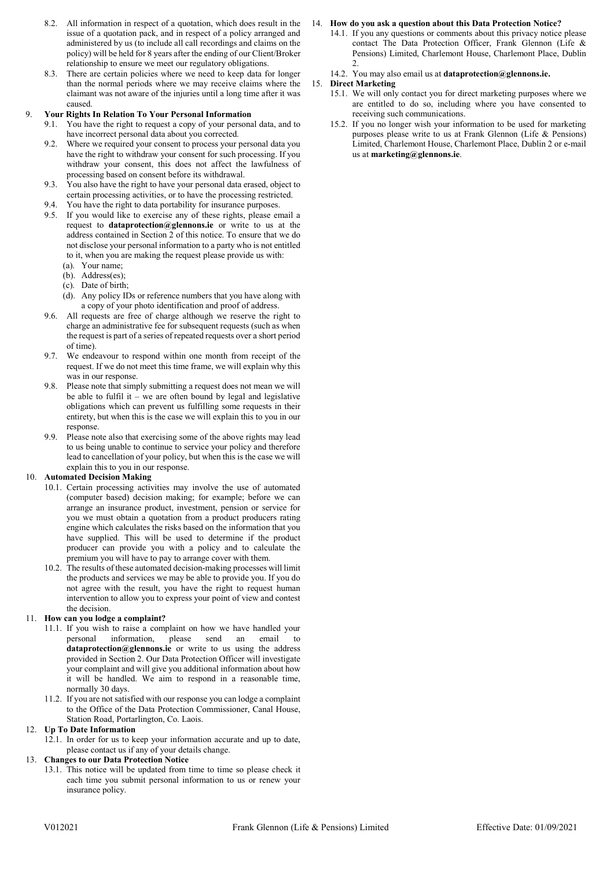- 8.2. All information in respect of a quotation, which does result in the issue of a quotation pack, and in respect of a policy arranged and administered by us (to include all call recordings and claims on the policy) will be held for 8 years after the ending of our Client/Broker relationship to ensure we meet our regulatory obligations.
- 8.3. There are certain policies where we need to keep data for longer than the normal periods where we may receive claims where the claimant was not aware of the injuries until a long time after it was caused.

#### 9. Your Rights In Relation To Your Personal Information

- 9.1. You have the right to request a copy of your personal data, and to have incorrect personal data about you corrected.
- 9.2. Where we required your consent to process your personal data you have the right to withdraw your consent for such processing. If you withdraw your consent, this does not affect the lawfulness of processing based on consent before its withdrawal.
- 9.3. You also have the right to have your personal data erased, object to certain processing activities, or to have the processing restricted.
- 9.4. You have the right to data portability for insurance purposes.
- 9.5. If you would like to exercise any of these rights, please email a request to dataprotection@glennons.ie or write to us at the address contained in Section 2 of this notice. To ensure that we do not disclose your personal information to a party who is not entitled to it, when you are making the request please provide us with:
	- (a). Your name;
	- (b). Address(es);
	- (c). Date of birth;
	- (d). Any policy IDs or reference numbers that you have along with a copy of your photo identification and proof of address.
- 9.6. All requests are free of charge although we reserve the right to charge an administrative fee for subsequent requests (such as when the request is part of a series of repeated requests over a short period of time).
- 9.7. We endeavour to respond within one month from receipt of the request. If we do not meet this time frame, we will explain why this was in our response.
- 9.8. Please note that simply submitting a request does not mean we will be able to fulfil it – we are often bound by legal and legislative obligations which can prevent us fulfilling some requests in their entirety, but when this is the case we will explain this to you in our response.
- 9.9. Please note also that exercising some of the above rights may lead to us being unable to continue to service your policy and therefore lead to cancellation of your policy, but when this is the case we will explain this to you in our response.

#### 10. Automated Decision Making

- 10.1. Certain processing activities may involve the use of automated (computer based) decision making; for example; before we can arrange an insurance product, investment, pension or service for you we must obtain a quotation from a product producers rating engine which calculates the risks based on the information that you have supplied. This will be used to determine if the product producer can provide you with a policy and to calculate the premium you will have to pay to arrange cover with them.
- 10.2. The results of these automated decision-making processes will limit the products and services we may be able to provide you. If you do not agree with the result, you have the right to request human intervention to allow you to express your point of view and contest the decision.

#### 11. How can you lodge a complaint?

- 11.1. If you wish to raise a complaint on how we have handled your personal information, please send an email to dataprotection@glennons.ie or write to us using the address provided in Section 2. Our Data Protection Officer will investigate your complaint and will give you additional information about how it will be handled. We aim to respond in a reasonable time, normally 30 days.
- 11.2. If you are not satisfied with our response you can lodge a complaint to the Office of the Data Protection Commissioner, Canal House, Station Road, Portarlington, Co. Laois.

#### 12. Up To Date Information

12.1. In order for us to keep your information accurate and up to date, please contact us if any of your details change.

#### 13. Changes to our Data Protection Notice

13.1. This notice will be updated from time to time so please check it each time you submit personal information to us or renew your insurance policy.

#### 14. How do you ask a question about this Data Protection Notice?

- 14.1. If you any questions or comments about this privacy notice please contact The Data Protection Officer, Frank Glennon (Life & Pensions) Limited, Charlemont House, Charlemont Place, Dublin 2.
- 14.2. You may also email us at dataprotection@glennons.ie.

#### 15. Direct Marketing

- 15.1. We will only contact you for direct marketing purposes where we are entitled to do so, including where you have consented to receiving such communications.
- 15.2. If you no longer wish your information to be used for marketing purposes please write to us at Frank Glennon (Life & Pensions) Limited, Charlemont House, Charlemont Place, Dublin 2 or e-mail us at marketing@glennons.ie.